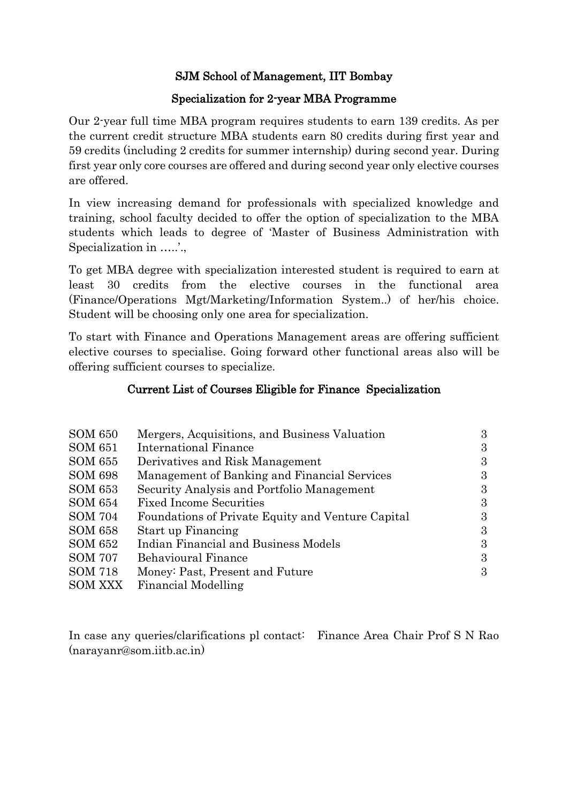### SJM School of Management, IIT Bombay

### Specialization for 2-year MBA Programme

Our 2-year full time MBA program requires students to earn 139 credits. As per the current credit structure MBA students earn 80 credits during first year and 59 credits (including 2 credits for summer internship) during second year. During first year only core courses are offered and during second year only elective courses are offered.

In view increasing demand for professionals with specialized knowledge and training, school faculty decided to offer the option of specialization to the MBA students which leads to degree of 'Master of Business Administration with Specialization in .....<sup>'</sup>.

To get MBA degree with specialization interested student is required to earn at least 30 credits from the elective courses in the functional area (Finance/Operations Mgt/Marketing/Information System..) of her/his choice. Student will be choosing only one area for specialization.

To start with Finance and Operations Management areas are offering sufficient elective courses to specialise. Going forward other functional areas also will be offering sufficient courses to specialize.

#### Current List of Courses Eligible for Finance Specialization

| <b>SOM 650</b> | Mergers, Acquisitions, and Business Valuation     | 3 |
|----------------|---------------------------------------------------|---|
| SOM 651        | International Finance                             | 3 |
| SOM 655        | Derivatives and Risk Management                   | 3 |
| <b>SOM 698</b> | Management of Banking and Financial Services      | 3 |
| SOM 653        | Security Analysis and Portfolio Management        | 3 |
| SOM 654        | <b>Fixed Income Securities</b>                    | 3 |
| <b>SOM 704</b> | Foundations of Private Equity and Venture Capital | 3 |
| <b>SOM 658</b> | Start up Financing                                | 3 |
| SOM 652        | Indian Financial and Business Models              | 3 |
| <b>SOM 707</b> | <b>Behavioural Finance</b>                        | 3 |
| <b>SOM 718</b> | Money: Past, Present and Future                   | 3 |
| <b>SOM XXX</b> | Financial Modelling                               |   |

In case any queries/clarifications pl contact: Finance Area Chair Prof S N Rao (narayanr@som.iitb.ac.in)